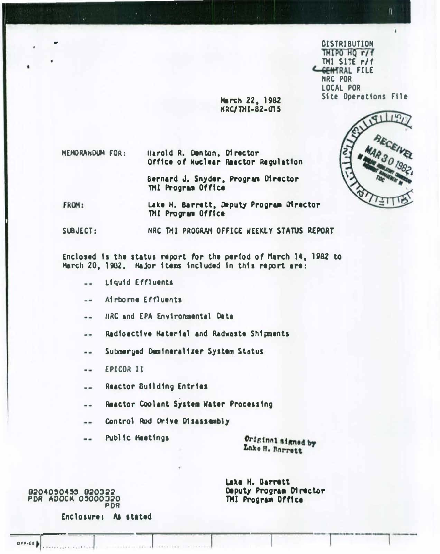**DISTRIBUTION** TMIPO HQ r/f THI SITE r/f CGENTRAL FILE NRC POR LOCAL POR Site Operations File

 $\overline{\bf n}$ 

**HEMORANDUM FOR:** Harold R. Denton, Director Office of Nuclear Reactor Regulation

> Bernard J. Snyder, Program Director THI Program Office

March 22, 1982 **NRC/THI-82-015** 

FROM: Lake H. Barrett, Deputy Program Director THI Program Office

NRC THI PROGRAM OFFICE WEEKLY STATUS REPORT SUBJECT:

Enclosed is the status report for the period of March 14, 1982 to March 20, 1982. Major items included in this report are:

- Liquid Effluents  $\overline{a}$
- Airborne Effluents  $-$
- HRC and EPA Environmental Data ..
- Radioactive Haterial and Radwaste Shipments --
- Submerged Demineralizer System Status  $-1$
- **EPICOR II**  $-1$
- Reactor Building Entries ..
- Reactor Coolant System Water Processing  $- -$
- Control Rod Orive Disassembly ..
- Public Heetings  $= -$

Original signed by Lake H. Barrett

Lake H. Barrett Deputy Program Director THI Program Office

8204050455 820322<br>PDR ADOCK 05000320 **PDR** 

 $O(11.01)$ 

Enclosure: As stated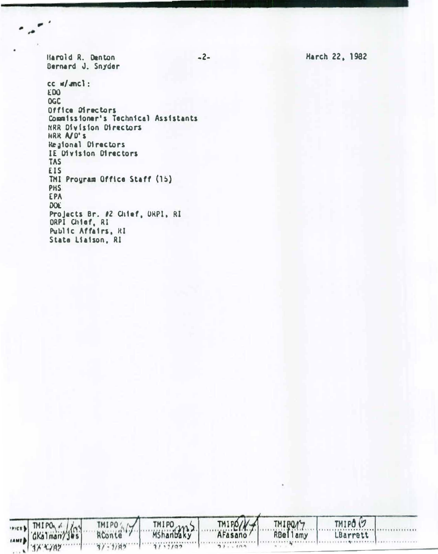Harold R. Denton Bernard J. Snyder

 $\overline{\phantom{a}}$  .

TMIPO / /

**JX + 7A7** 

**IAME** 

TMIPO /

 $37 - 1785$ 

 $cc$   $m/cmcl$ : EDO. **OGC** Office Directors Commissioner's Technical Assistants NRR Division Directors HRR A/D'S Regional Directors IE Division Directors **TAS EIS** THI Program Office Staff (15) **PHS** EPA **DOE** Projects Br. #2 Chief, ORPI, RI<br>ORPI Chief, RI Public Affairs, RI State Liaison, RI

TMIPO 2015

 $77.7765...$ 

 $-2-$ 

Harch 22, 1982

TMIPO<sup>(7</sup>

LBarrett

 $1 + 9 + 16$ 

TMI BOMY

**RBellamy** 

 $.........$ 

TMIPO/ AFasano/

 $57.300$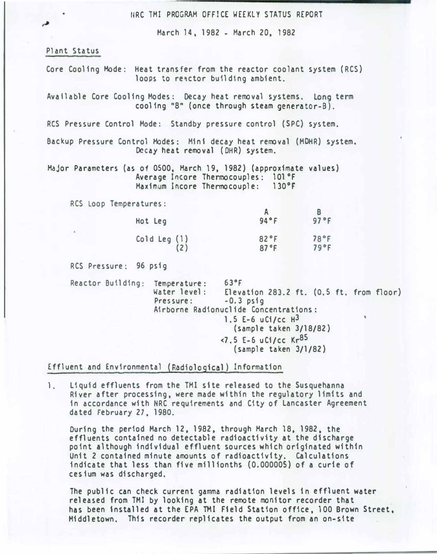URC TMI PROGRAM OFFICE WEEKLY STATUS REPORT

March 14, 1982- March 20, 1982

#### Plant Status

م

Core Cooling Mode: Heat transfer from the reactor coolant system (RCS) loops to reactor building ambient.

Available Core Cooling Modes: Decay heat removal systems. Long term cooling "8" (once through steam generator-B).

RCS Pressure Control Mode: Standby pressure control (SPC) system.

Backup Pressure Control Modes: Mini decay heat removal (MOHR) system. Decay heat removal (OHR) system.

Major Parameters (as of 0500, March 19, 1982) (approximate values) Average Incore Thermocouples: 101 °F Maximum Incore Thermocouple: 130°F

RCS Loop Temperatures :

| Hot Leg      | 94°F | 97°F |
|--------------|------|------|
| Cold Leg (1) | 82°F | 78°F |
| (2)          | 87°F | 79°F |

RCS Pressure: 96 psig

Reactor Building: Temperature: 63°F<br>Water level: Eleva Elevation 283.2 ft.  $(0.5$  ft. from floor)<br>-0.3 psig Pressure: Airborne Radionucl ide Concentrations: 1.5 E-6  $uC1/cc$  H<sup>3</sup> (sample taken 3/18/82) <7.5 E-6 uCi/cc Kr85 (sample taken 3/1/82)

Effluent and Environmental (Radiological) Information

1. Liquid effluents from the TMI site released to the Susquehanna River after processing, were made within the regulatory limits and in accordance with NRC requirements and City of Lancaster Agreement dated February 27,1980.

During the period March 12, 1982, through March 18, 1982, the effluents contained no detectable radioactivity at the discharge point although individual effluent sources which originated within Unit 2 contained minute amounts of radioactivity. Calculations indicate that less than five millionths (0.000005) of a curie of ces ium was discharged.

The public can check current gamma radiation levels in effluent water released from TMJ by looking at the remote monitor recorder that has been installed at the EPA TMI Field Station office, 100 Brown Street. Middletown. Th1s recorder replicates the output from an on-site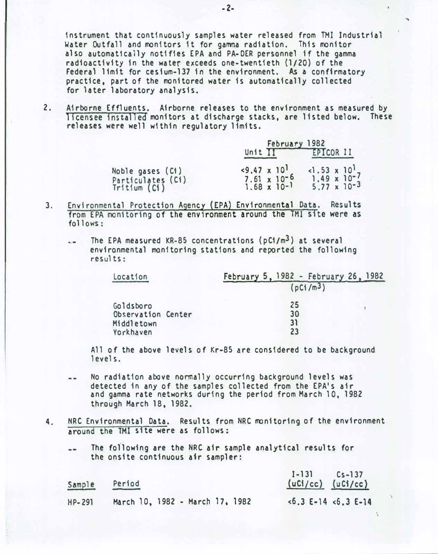instrument that continuously samples water released from TMI Industrial Water Outfall and monitors it for gamma radiation. This monitor also automatically notifies EPA and PA-DER personnel if the gamma radioactivity in the water exceeds one-twentieth (1/20) of the Federal limit for cestum-137 in the environment. As a confirmatory practice. part of the monitored water is automatically collected for later laboratory analysis.

2. Airborne Effluents. Airborne releases to the environment as measured by licensee installed monitors at discharge stacks, are listed below. These releases were well within regulatory limits.

|                                                       | February 1982                                                           |                                                                         |
|-------------------------------------------------------|-------------------------------------------------------------------------|-------------------------------------------------------------------------|
|                                                       | Unit $\Pi$                                                              | EPTCOR II                                                               |
| Noble gases (C1)<br>Particulates (Ci)<br>Triflim (C1) | $<9.47 \times 10^{1}$<br>$7.61 \times 10^{-6}$<br>$1.68 \times 10^{-1}$ | $-1.53 \times 10^{1}$<br>$1.49 \times 10^{-7}$<br>$5.77 \times 10^{-3}$ |

- 3. Environmental Protection Agency (EPA) Environmental Data. Results from EPA monitoring of the environment around the TMI site were as  $follows:$ 
	- $\sim$  The EPA measured KR-85 concentrations (pC1/m<sup>3</sup>) at several environmental monitoring stations and reported the following results:

| Location           | February 5, 1982 - February 26, 1982 |  |  |
|--------------------|--------------------------------------|--|--|
|                    | (pC1/m <sup>3</sup> )                |  |  |
| Goldsboro          | 25                                   |  |  |
| Observation Center | 30                                   |  |  |
| Middletown         | 31                                   |  |  |
| Yorkhaven          | 23                                   |  |  |

All of the above levels of Kr-85 are considered to be background levels.

- No radiation above normally occurring background levels was  $-$ detected in any of the samples collected from the EPA's air and gamma rate networks during the period from March 10, 1982 through March 18, 1982.
- 4. NRC Environmental Data. Results from NRC monitoring of the environment around the TMl site were as follows:
	- The following are the NRC air sample analytical results for the onsite continuous air sampler:

| Sample     | Period                          | $I - 131$ $Cs - 137$<br>$(uCi/cc)$ $(uCi/cc)$ |
|------------|---------------------------------|-----------------------------------------------|
| $HP - 291$ | March 10, 1982 - March 17, 1982 | $\le 6.3$ E-14 $\le 6.3$ E-14                 |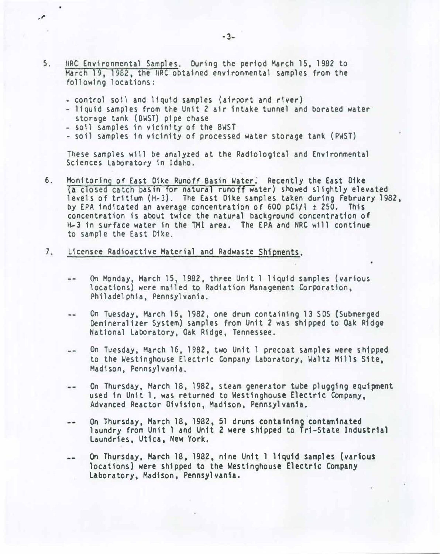- 5. NRC Environmental Samples. During the period March 15, 1982 to March 19, 1982, the HRC obtained environmental samples from the following locations:
	- control soil and liquid samples (airport and river)
	- liquid samples from the Unit 2 air intake tunnel and borated water storage tank (BWST) pipe chase
	- so11 samples in vicinity of the 8WST

·'

- soil samples in vicinity of processed water storage tank (PWST)

These samples will be analyzed at the Radiological and Environmental Sciences Laboratory in Idaho.

- 6. Monitoring of East Dike Runoff Basin Water. Recently the East Dike (a closed catch basin for natural runoff water) showed slightly elevated levels of tritium {H-3). The East Dike samples taken during February 1982. by EPA indicated an average concentration of 600 pCi/1  $\pm$  250. This concentration is about twice the natural background concentration of H-3 in surface water in the TMI area. The EPA and NRC will continue to sample the East Dike.
- 7. Licensee Radioactive Material and Radwaste Shipments.
	- On Monday, March 15, 1982, three Unit 1 liquid samples (various  $\cdots$ locations) were mailed to Radiation Management Corporation, Philadelphia, Pennsylvania.
	- On Tuesday, March 16, 1982, one drum containing 13 SDS (Submerged  $- -$ Oemineralizer System) samples from Unit 2 was shipped to Oak Ridge National Laboratory, Oak Ridge, Tennessee.
	- On Tuesday, March 16, 1982, two Unit 1 precoat samples were shipped  $\rightarrow$   $\rightarrow$ to the Westinghouse Electric Company Laboratory, Waltz Mills S1te, Madison, Pennsylvania.
	- On Thursday. March 18, 1982, steam generator tube plugging equipment  $-$ used in Unit 1, was returned to Westinghouse Electric Company, Advanced Reactor Division, Madison. Pennsylvania.
	- On Thursday, March 18, 1982, 51 drums containing contaminated  $\frac{1}{2}$ laundry from Unit 1 and Unit 2 were shipped to Tri-State Industrial Laundries, Utica, New York.
	- On Thursday. March 18. 1982, nine Unit 1 liquid samples (various  $-$ locations) were shipped to the Westinghouse Electric Company Laboratory, Madison, Pennsylvania.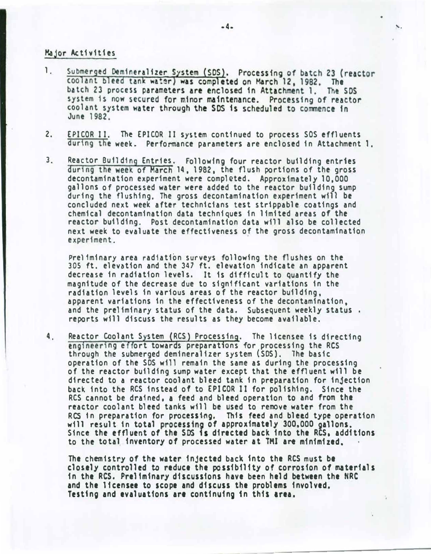### Major Activities

- 1 . Submerged Demineralizer System (SDS). Processing of batch 23 (reactor coolant bleed tank water) was completed on March 12, 1982. The<br>batch 23 process parameters are enclosed in Attachment 1. The SDS system is now secured for minor maintenance. Processing of reactor coolant system water through the SDS is scheduled to commence in June 1982.
- 2. EPICOR II. The EPICOR II system continued to process SOS effluents during the week. Performance parameters are enclosed in Attachment 1.
- 3. Reactor Building Entries. Following four reactor building entries during the week of March 14, <sup>1</sup> 982, the flush portions of the gross decontamination experiment were completed. Approximately 10,000 gallons of processed water were added to the reactor building sump during the flushing, The gross decontamination experiment will be concluded next week after technicians test strippable coatings and chemical decontamination data techniques in limited areas of the reactor building. Post decontamination data will also be collected next week to evaluate the effectiveness of the gross decontamination experiment.

Preliminary area radiation surveys following the flushes on the 305 ft. elevation and the 347 ft. elevation indicate an apparent decrease in radiation levels. It 1s difficult to quantify the magnitude of the decrease due to significant variations in the radiation levels in various areas of the reactor building, apparent variations in the effectiveness of the decontamination, and the preliminary status of the data. Subsequent weekly status . reports will discuss the results as they become available.

4. Reactor Coolant System (RCS) Processing. The licensee is directing engineering effort towards preparations for processing the RCS through the submerged demineralizer system (SDS). The basic operation of the SDS will remain the same as during the processing of the reactor building sump water except that the effluent will be directed to a reactor coolant bleed tank in preparation for injection back into the RCS instead of to EPICOR II for polishing. Since the RCS cannot be drained, a feed and bleed operation to and from the reactor coolant bleed tanks will be used to remove water from the RCS in preparation for processing. This feed and bleed type operation will result in total processing of approximately 300,000 gallons. Since the effluent of the SDS is directed back into the RCS, additions to the total inventory of processed water at THI are minimized.

The chemistry of the water injected back into the RCS must be closely controlled to reduce the possibility of corrosion of materials in the RCS. Pre11m1nary discussions have been held between the NRC and the licensee to scope and discuss the problems involved. Testing and evaluations are continuing in this area.

- -------------------------

•

'·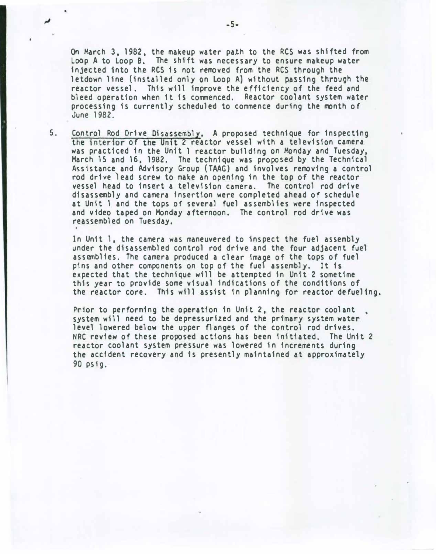On March 3, 1982, the makeup water path to the RCS was shifted from Loop A to Loop B. The shift was necessary to ensure makeup water injected into the RCS is not removed from the RCS through the letdown line (installed only on Loop A) without passing through the reactor vessel. This w111 improve the efficiency of the feed and bleed operation when it ts commenced. Reactor coolant system water processing is currently scheduled to commence during the month of June 1982.

S. Control Rod Drive Disassembly. A proposed technique for inspecting the interior of the Unit 2 reactor vessel with a television camera was practiced 1n the Unit 1 reactor building on Monday and Tuesday, March 15 and 16, 1982. The technique was proposed by the Technical Assistance and Advisory Group (TAAG) and involves removing a control rod drive )ead screw to make an opening in the top of the reactor vessel head to insert a television camera. The control rod drive disassembly and camera insertion were completed ahead of schedule at Unit 1 and the tops of several fuel assemblies were inspected and video taped on Monday afternoon. The control rod drive was reassembled on Tuesday.

In Unit 1, the camera was maneuvered to inspect the fuel assembly under the disassembled control rod drive and the four adjacent fuel assemblies. The camera produced a clear image of the tops of fuel pins and other components on top of the fuel assembly. It 1s expected that the technique will be attempted in Unit 2 sometime this year to provide some visual indications of the conditions of the reactor core. This will assist in planning for reactor defueling.

Prior to performing the operation in Unit 2, the reactor coolant system will need to be depressurized and the primary system water level lowered below the upper flanges of the control rod drives. NRC review of these proposed actions has been initiated. The Unit 2 reactor coolant system pressure was lowered in increments during the accident recovery and is presently maintained at approximately 90 psfg.

•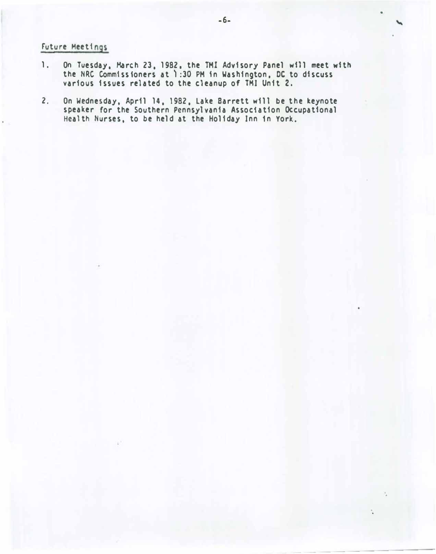## Future Meetings

- 1. On Tuesday, March 23, 1982, the THI Advisory Panel will meet with the NRC Commissioners at 1:30 PM in Washington, DC to discuss various issues related to the cleanup of TMI Unit 2.
- 2. On Wednesday, April 14, 1982, Lake Barrett will be the keynote speaker for the Southern Pennsylvania Association Occupational Health Nurses, to be held at the Holiday Inn 1n York.

•

-----------